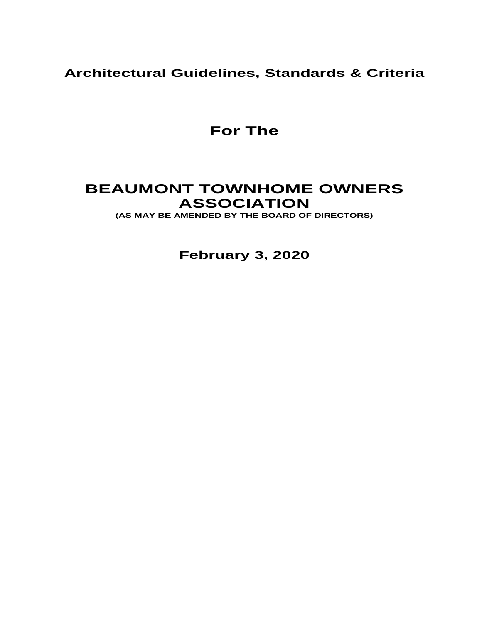# **Architectural Guidelines, Standards & Criteria**

**For The**

# **BEAUMONT TOWNHOME OWNERS ASSOCIATION**

**(AS MAY BE AMENDED BY THE BOARD OF DIRECTORS)**

**February 3, 2020**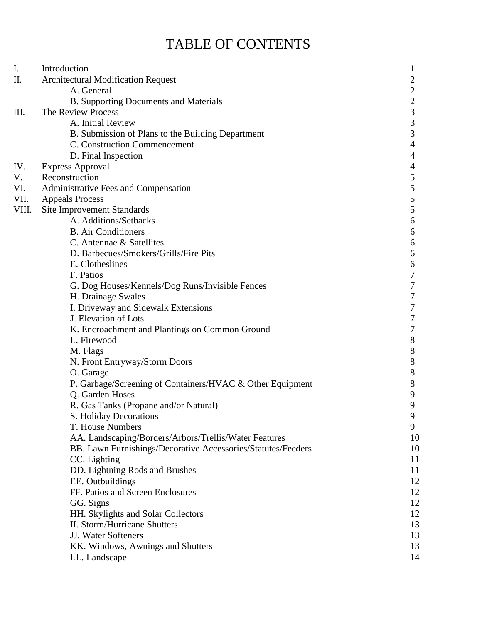# TABLE OF CONTENTS

| I.    | Introduction                                                 | 1                                          |
|-------|--------------------------------------------------------------|--------------------------------------------|
| П.    | <b>Architectural Modification Request</b>                    | $\overline{c}$                             |
|       | A. General                                                   |                                            |
|       | <b>B. Supporting Documents and Materials</b>                 | $\begin{array}{c} 2 \\ 2 \\ 3 \end{array}$ |
| Ш.    | The Review Process                                           |                                            |
|       | A. Initial Review                                            | $\overline{3}$                             |
|       | B. Submission of Plans to the Building Department            | $\overline{3}$                             |
|       | C. Construction Commencement                                 | $\overline{4}$                             |
|       | D. Final Inspection                                          | $\overline{4}$                             |
| IV.   | <b>Express Approval</b>                                      | $\overline{\mathcal{A}}$                   |
| V.    | Reconstruction                                               | 5                                          |
| VI.   | Administrative Fees and Compensation                         |                                            |
| VII.  | <b>Appeals Process</b>                                       | $\frac{5}{5}$                              |
| VIII. | <b>Site Improvement Standards</b>                            |                                            |
|       | A. Additions/Setbacks                                        | $\boldsymbol{6}$                           |
|       | <b>B.</b> Air Conditioners                                   | 6                                          |
|       | C. Antennae & Satellites                                     | 6                                          |
|       | D. Barbecues/Smokers/Grills/Fire Pits                        | 6                                          |
|       | E. Clotheslines                                              | $\boldsymbol{6}$                           |
|       | F. Patios                                                    | $\boldsymbol{7}$                           |
|       | G. Dog Houses/Kennels/Dog Runs/Invisible Fences              | $\sqrt{ }$                                 |
|       | H. Drainage Swales                                           | $\overline{7}$                             |
|       | I. Driveway and Sidewalk Extensions                          | $\overline{7}$                             |
|       | J. Elevation of Lots                                         | $\boldsymbol{7}$                           |
|       | K. Encroachment and Plantings on Common Ground               | $\boldsymbol{7}$                           |
|       | L. Firewood                                                  | $\,8\,$                                    |
|       | M. Flags                                                     | $\,8$                                      |
|       | N. Front Entryway/Storm Doors                                | $\,8$                                      |
|       | O. Garage                                                    | $\,8$                                      |
|       | P. Garbage/Screening of Containers/HVAC & Other Equipment    | $8\,$                                      |
|       | Q. Garden Hoses                                              | 9                                          |
|       | R. Gas Tanks (Propane and/or Natural)                        | 9                                          |
|       | S. Holiday Decorations                                       | 9                                          |
|       | T. House Numbers                                             | 9                                          |
|       | AA. Landscaping/Borders/Arbors/Trellis/Water Features        | 10                                         |
|       | BB. Lawn Furnishings/Decorative Accessories/Statutes/Feeders | 10                                         |
|       | CC. Lighting                                                 | 11                                         |
|       | DD. Lightning Rods and Brushes                               | 11                                         |
|       | EE. Outbuildings                                             | 12                                         |
|       | FF. Patios and Screen Enclosures                             | 12                                         |
|       | GG. Signs                                                    | 12                                         |
|       | HH. Skylights and Solar Collectors                           | 12                                         |
|       | <b>II. Storm/Hurricane Shutters</b>                          | 13                                         |
|       | JJ. Water Softeners                                          | 13                                         |
|       | KK. Windows, Awnings and Shutters                            | 13                                         |
|       | LL. Landscape                                                | 14                                         |
|       |                                                              |                                            |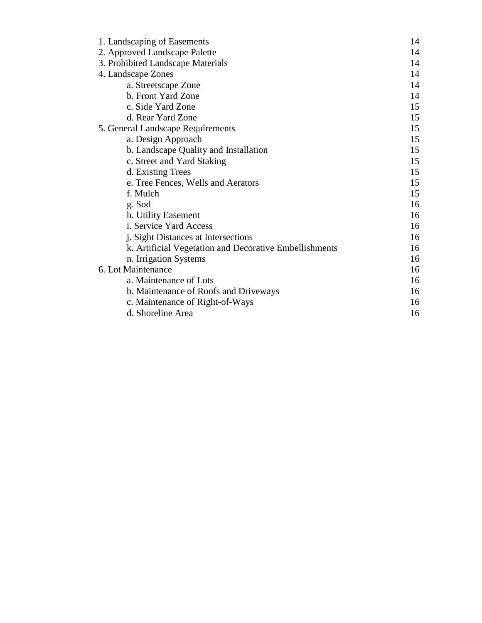| 1. Landscaping of Easements                            |    |  |
|--------------------------------------------------------|----|--|
| 2. Approved Landscape Palette                          |    |  |
| 3. Prohibited Landscape Materials                      |    |  |
| 4. Landscape Zones                                     |    |  |
| a. Streetscape Zone                                    | 14 |  |
| b. Front Yard Zone                                     | 14 |  |
| c. Side Yard Zone                                      | 15 |  |
| d. Rear Yard Zone                                      | 15 |  |
| 5. General Landscape Requirements                      |    |  |
| a. Design Approach                                     | 15 |  |
| b. Landscape Quality and Installation                  | 15 |  |
| c. Street and Yard Staking                             | 15 |  |
| d. Existing Trees                                      | 15 |  |
| e. Tree Fences, Wells and Aerators                     | 15 |  |
| f. Mulch                                               | 15 |  |
| g. Sod                                                 | 16 |  |
| h. Utility Easement                                    | 16 |  |
| i. Service Yard Access                                 | 16 |  |
| j. Sight Distances at Intersections                    | 16 |  |
| k. Artificial Vegetation and Decorative Embellishments | 16 |  |
| n. Irrigation Systems                                  | 16 |  |
| 6. Lot Maintenance                                     |    |  |
| a. Maintenance of Lots                                 | 16 |  |
| b. Maintenance of Roofs and Driveways                  | 16 |  |
| c. Maintenance of Right-of-Ways                        | 16 |  |
| d. Shoreline Area                                      | 16 |  |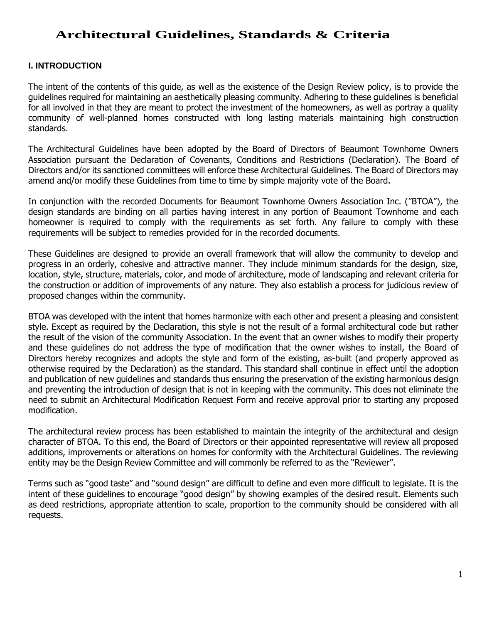# **Architectural Guidelines, Standards & Criteria**

# **I. INTRODUCTION**

The intent of the contents of this guide, as well as the existence of the Design Review policy, is to provide the guidelines required for maintaining an aesthetically pleasing community. Adhering to these guidelines is beneficial for all involved in that they are meant to protect the investment of the homeowners, as well as portray a quality community of well-planned homes constructed with long lasting materials maintaining high construction standards.

The Architectural Guidelines have been adopted by the Board of Directors of Beaumont Townhome Owners Association pursuant the Declaration of Covenants, Conditions and Restrictions (Declaration). The Board of Directors and/or its sanctioned committees will enforce these Architectural Guidelines. The Board of Directors may amend and/or modify these Guidelines from time to time by simple majority vote of the Board.

In conjunction with the recorded Documents for Beaumont Townhome Owners Association Inc. ("BTOA"), the design standards are binding on all parties having interest in any portion of Beaumont Townhome and each homeowner is required to comply with the requirements as set forth. Any failure to comply with these requirements will be subject to remedies provided for in the recorded documents.

These Guidelines are designed to provide an overall framework that will allow the community to develop and progress in an orderly, cohesive and attractive manner. They include minimum standards for the design, size, location, style, structure, materials, color, and mode of architecture, mode of landscaping and relevant criteria for the construction or addition of improvements of any nature. They also establish a process for judicious review of proposed changes within the community.

BTOA was developed with the intent that homes harmonize with each other and present a pleasing and consistent style. Except as required by the Declaration, this style is not the result of a formal architectural code but rather the result of the vision of the community Association. In the event that an owner wishes to modify their property and these guidelines do not address the type of modification that the owner wishes to install, the Board of Directors hereby recognizes and adopts the style and form of the existing, as-built (and properly approved as otherwise required by the Declaration) as the standard. This standard shall continue in effect until the adoption and publication of new guidelines and standards thus ensuring the preservation of the existing harmonious design and preventing the introduction of design that is not in keeping with the community. This does not eliminate the need to submit an Architectural Modification Request Form and receive approval prior to starting any proposed modification.

The architectural review process has been established to maintain the integrity of the architectural and design character of BTOA. To this end, the Board of Directors or their appointed representative will review all proposed additions, improvements or alterations on homes for conformity with the Architectural Guidelines. The reviewing entity may be the Design Review Committee and will commonly be referred to as the "Reviewer".

Terms such as "good taste" and "sound design" are difficult to define and even more difficult to legislate. It is the intent of these guidelines to encourage "good design" by showing examples of the desired result. Elements such as deed restrictions, appropriate attention to scale, proportion to the community should be considered with all requests.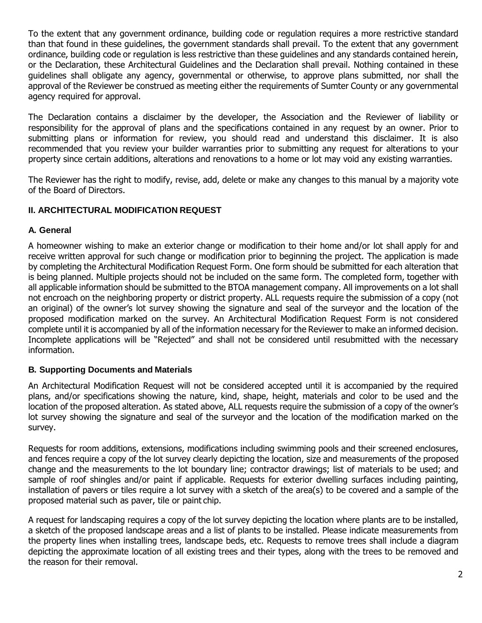To the extent that any government ordinance, building code or regulation requires a more restrictive standard than that found in these guidelines, the government standards shall prevail. To the extent that any government ordinance, building code or regulation is less restrictive than these guidelines and any standards contained herein, or the Declaration, these Architectural Guidelines and the Declaration shall prevail. Nothing contained in these guidelines shall obligate any agency, governmental or otherwise, to approve plans submitted, nor shall the approval of the Reviewer be construed as meeting either the requirements of Sumter County or any governmental agency required for approval.

The Declaration contains a disclaimer by the developer, the Association and the Reviewer of liability or responsibility for the approval of plans and the specifications contained in any request by an owner. Prior to submitting plans or information for review, you should read and understand this disclaimer. It is also recommended that you review your builder warranties prior to submitting any request for alterations to your property since certain additions, alterations and renovations to a home or lot may void any existing warranties.

The Reviewer has the right to modify, revise, add, delete or make any changes to this manual by a majority vote of the Board of Directors.

# **II. ARCHITECTURAL MODIFICATION REQUEST**

#### **A. General**

A homeowner wishing to make an exterior change or modification to their home and/or lot shall apply for and receive written approval for such change or modification prior to beginning the project. The application is made by completing the Architectural Modification Request Form. One form should be submitted for each alteration that is being planned. Multiple projects should not be included on the same form. The completed form, together with all applicable information should be submitted to the BTOA management company. All improvements on a lot shall not encroach on the neighboring property or district property. ALL requests require the submission of a copy (not an original) of the owner's lot survey showing the signature and seal of the surveyor and the location of the proposed modification marked on the survey. An Architectural Modification Request Form is not considered complete until it is accompanied by all of the information necessary for the Reviewer to make an informed decision. Incomplete applications will be "Rejected" and shall not be considered until resubmitted with the necessary information.

# **B. Supporting Documents and Materials**

An Architectural Modification Request will not be considered accepted until it is accompanied by the required plans, and/or specifications showing the nature, kind, shape, height, materials and color to be used and the location of the proposed alteration. As stated above, ALL requests require the submission of a copy of the owner's lot survey showing the signature and seal of the surveyor and the location of the modification marked on the survey.

Requests for room additions, extensions, modifications including swimming pools and their screened enclosures, and fences require a copy of the lot survey clearly depicting the location, size and measurements of the proposed change and the measurements to the lot boundary line; contractor drawings; list of materials to be used; and sample of roof shingles and/or paint if applicable. Requests for exterior dwelling surfaces including painting, installation of pavers or tiles require a lot survey with a sketch of the area(s) to be covered and a sample of the proposed material such as paver, tile or paint chip.

A request for landscaping requires a copy of the lot survey depicting the location where plants are to be installed, a sketch of the proposed landscape areas and a list of plants to be installed. Please indicate measurements from the property lines when installing trees, landscape beds, etc. Requests to remove trees shall include a diagram depicting the approximate location of all existing trees and their types, along with the trees to be removed and the reason for their removal.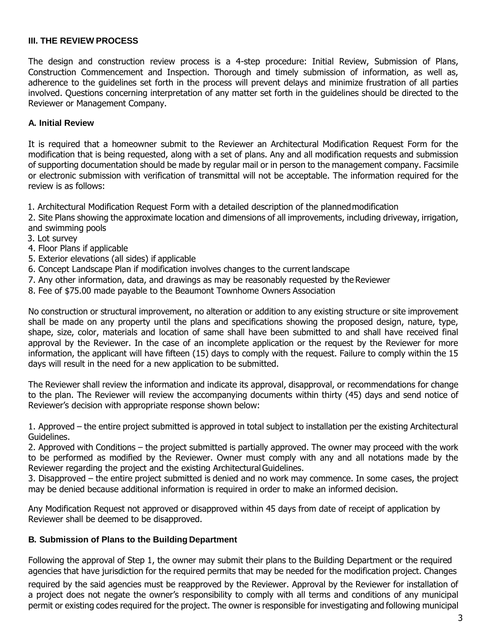#### **III. THE REVIEW PROCESS**

The design and construction review process is a 4-step procedure: Initial Review, Submission of Plans, Construction Commencement and Inspection. Thorough and timely submission of information, as well as, adherence to the guidelines set forth in the process will prevent delays and minimize frustration of all parties involved. Questions concerning interpretation of any matter set forth in the guidelines should be directed to the Reviewer or Management Company.

#### **A. Initial Review**

It is required that a homeowner submit to the Reviewer an Architectural Modification Request Form for the modification that is being requested, along with a set of plans. Any and all modification requests and submission of supporting documentation should be made by regular mail or in person to the management company. Facsimile or electronic submission with verification of transmittal will not be acceptable. The information required for the review is as follows:

1. Architectural Modification Request Form with a detailed description of the plannedmodification

2. Site Plans showing the approximate location and dimensions of all improvements, including driveway, irrigation, and swimming pools

- 3. Lot survey
- 4. Floor Plans if applicable
- 5. Exterior elevations (all sides) if applicable
- 6. Concept Landscape Plan if modification involves changes to the current landscape
- 7. Any other information, data, and drawings as may be reasonably requested by the Reviewer
- 8. Fee of \$75.00 made payable to the Beaumont Townhome Owners Association

No construction or structural improvement, no alteration or addition to any existing structure or site improvement shall be made on any property until the plans and specifications showing the proposed design, nature, type, shape, size, color, materials and location of same shall have been submitted to and shall have received final approval by the Reviewer. In the case of an incomplete application or the request by the Reviewer for more information, the applicant will have fifteen (15) days to comply with the request. Failure to comply within the 15 days will result in the need for a new application to be submitted.

The Reviewer shall review the information and indicate its approval, disapproval, or recommendations for change to the plan. The Reviewer will review the accompanying documents within thirty (45) days and send notice of Reviewer's decision with appropriate response shown below:

1. Approved – the entire project submitted is approved in total subject to installation per the existing Architectural Guidelines.

2. Approved with Conditions – the project submitted is partially approved. The owner may proceed with the work to be performed as modified by the Reviewer. Owner must comply with any and all notations made by the Reviewer regarding the project and the existing Architectural Guidelines.

3. Disapproved – the entire project submitted is denied and no work may commence. In some cases, the project may be denied because additional information is required in order to make an informed decision.

Any Modification Request not approved or disapproved within 45 days from date of receipt of application by Reviewer shall be deemed to be disapproved.

#### **B. Submission of Plans to the Building Department**

Following the approval of Step 1, the owner may submit their plans to the Building Department or the required agencies that have jurisdiction for the required permits that may be needed for the modification project. Changes

required by the said agencies must be reapproved by the Reviewer. Approval by the Reviewer for installation of a project does not negate the owner's responsibility to comply with all terms and conditions of any municipal permit or existing codes required for the project. The owner is responsible for investigating and following municipal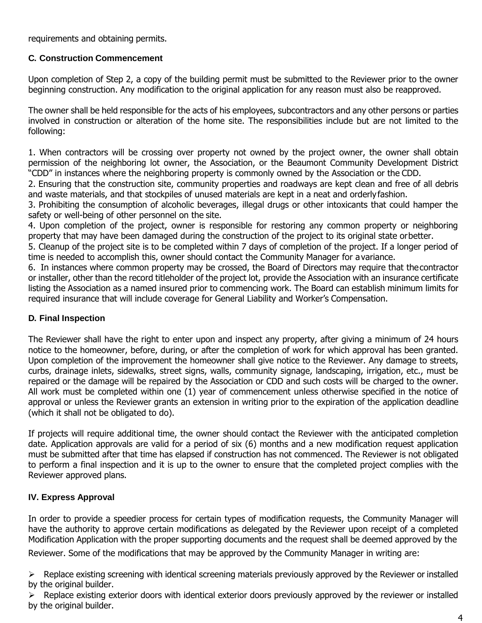requirements and obtaining permits.

# **C. Construction Commencement**

Upon completion of Step 2, a copy of the building permit must be submitted to the Reviewer prior to the owner beginning construction. Any modification to the original application for any reason must also be reapproved.

The owner shall be held responsible for the acts of his employees, subcontractors and any other persons or parties involved in construction or alteration of the home site. The responsibilities include but are not limited to the following:

1. When contractors will be crossing over property not owned by the project owner, the owner shall obtain permission of the neighboring lot owner, the Association, or the Beaumont Community Development District "CDD" in instances where the neighboring property is commonly owned by the Association or the CDD.

2. Ensuring that the construction site, community properties and roadways are kept clean and free of all debris and waste materials, and that stockpiles of unused materials are kept in a neat and orderlyfashion.

3. Prohibiting the consumption of alcoholic beverages, illegal drugs or other intoxicants that could hamper the safety or well-being of other personnel on the site.

4. Upon completion of the project, owner is responsible for restoring any common property or neighboring property that may have been damaged during the construction of the project to its original state orbetter.

5. Cleanup of the project site is to be completed within 7 days of completion of the project. If a longer period of time is needed to accomplish this, owner should contact the Community Manager for avariance.

6. In instances where common property may be crossed, the Board of Directors may require that thecontractor or installer, other than the record titleholder of the project lot, provide the Association with an insurance certificate listing the Association as a named insured prior to commencing work. The Board can establish minimum limits for required insurance that will include coverage for General Liability and Worker's Compensation.

# **D. Final Inspection**

The Reviewer shall have the right to enter upon and inspect any property, after giving a minimum of 24 hours notice to the homeowner, before, during, or after the completion of work for which approval has been granted. Upon completion of the improvement the homeowner shall give notice to the Reviewer. Any damage to streets, curbs, drainage inlets, sidewalks, street signs, walls, community signage, landscaping, irrigation, etc., must be repaired or the damage will be repaired by the Association or CDD and such costs will be charged to the owner. All work must be completed within one (1) year of commencement unless otherwise specified in the notice of approval or unless the Reviewer grants an extension in writing prior to the expiration of the application deadline (which it shall not be obligated to do).

If projects will require additional time, the owner should contact the Reviewer with the anticipated completion date. Application approvals are valid for a period of six (6) months and a new modification request application must be submitted after that time has elapsed if construction has not commenced. The Reviewer is not obligated to perform a final inspection and it is up to the owner to ensure that the completed project complies with the Reviewer approved plans.

# **IV. Express Approval**

In order to provide a speedier process for certain types of modification requests, the Community Manager will have the authority to approve certain modifications as delegated by the Reviewer upon receipt of a completed Modification Application with the proper supporting documents and the request shall be deemed approved by the Reviewer. Some of the modifications that may be approved by the Community Manager in writing are:

 $\triangleright$  Replace existing screening with identical screening materials previously approved by the Reviewer or installed by the original builder.

 $\triangleright$  Replace existing exterior doors with identical exterior doors previously approved by the reviewer or installed by the original builder.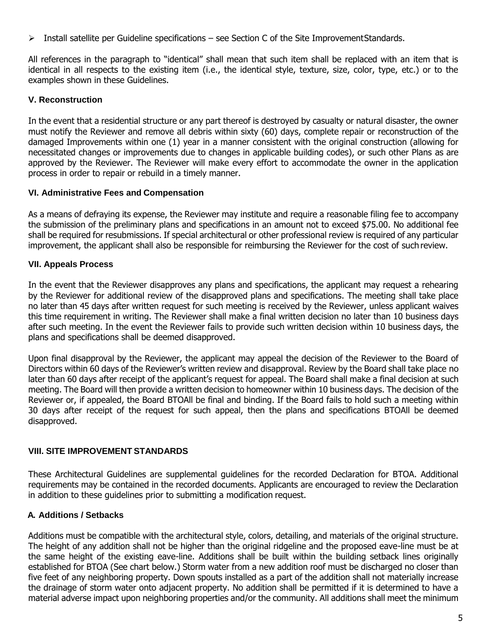$\triangleright$  Install satellite per Guideline specifications – see Section C of the Site Improvement Standards.

All references in the paragraph to "identical" shall mean that such item shall be replaced with an item that is identical in all respects to the existing item (i.e., the identical style, texture, size, color, type, etc.) or to the examples shown in these Guidelines.

# **V. Reconstruction**

In the event that a residential structure or any part thereof is destroyed by casualty or natural disaster, the owner must notify the Reviewer and remove all debris within sixty (60) days, complete repair or reconstruction of the damaged Improvements within one (1) year in a manner consistent with the original construction (allowing for necessitated changes or improvements due to changes in applicable building codes), or such other Plans as are approved by the Reviewer. The Reviewer will make every effort to accommodate the owner in the application process in order to repair or rebuild in a timely manner.

# **VI. Administrative Fees and Compensation**

As a means of defraying its expense, the Reviewer may institute and require a reasonable filing fee to accompany the submission of the preliminary plans and specifications in an amount not to exceed \$75.00. No additional fee shall be required for resubmissions. If special architectural or other professional review is required of any particular improvement, the applicant shall also be responsible for reimbursing the Reviewer for the cost of such review.

# **VII. Appeals Process**

In the event that the Reviewer disapproves any plans and specifications, the applicant may request a rehearing by the Reviewer for additional review of the disapproved plans and specifications. The meeting shall take place no later than 45 days after written request for such meeting is received by the Reviewer, unless applicant waives this time requirement in writing. The Reviewer shall make a final written decision no later than 10 business days after such meeting. In the event the Reviewer fails to provide such written decision within 10 business days, the plans and specifications shall be deemed disapproved.

Upon final disapproval by the Reviewer, the applicant may appeal the decision of the Reviewer to the Board of Directors within 60 days of the Reviewer's written review and disapproval. Review by the Board shall take place no later than 60 days after receipt of the applicant's request for appeal. The Board shall make a final decision at such meeting. The Board will then provide a written decision to homeowner within 10 business days. The decision of the Reviewer or, if appealed, the Board BTOAll be final and binding. If the Board fails to hold such a meeting within 30 days after receipt of the request for such appeal, then the plans and specifications BTOAll be deemed disapproved.

# **VIII. SITE IMPROVEMENT STANDARDS**

These Architectural Guidelines are supplemental guidelines for the recorded Declaration for BTOA. Additional requirements may be contained in the recorded documents. Applicants are encouraged to review the Declaration in addition to these guidelines prior to submitting a modification request.

# **A. Additions / Setbacks**

Additions must be compatible with the architectural style, colors, detailing, and materials of the original structure. The height of any addition shall not be higher than the original ridgeline and the proposed eave-line must be at the same height of the existing eave-line. Additions shall be built within the building setback lines originally established for BTOA (See chart below.) Storm water from a new addition roof must be discharged no closer than five feet of any neighboring property. Down spouts installed as a part of the addition shall not materially increase the drainage of storm water onto adjacent property. No addition shall be permitted if it is determined to have a material adverse impact upon neighboring properties and/or the community. All additions shall meet the minimum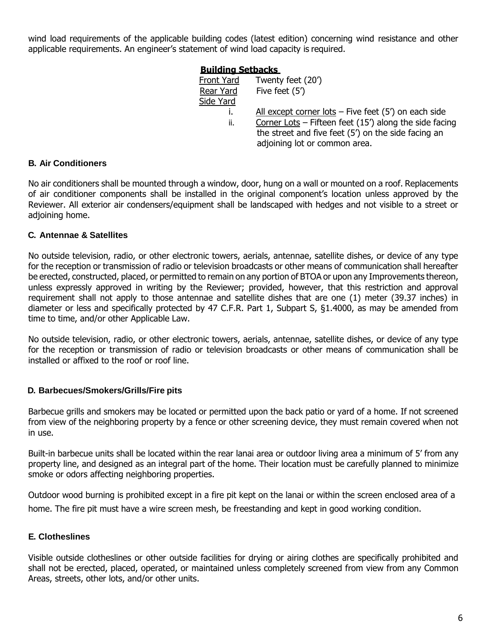wind load requirements of the applicable building codes (latest edition) concerning wind resistance and other applicable requirements. An engineer's statement of wind load capacity is required.

#### **Building Setbacks**

| Front Yard | Twenty feet (20')                                        |
|------------|----------------------------------------------------------|
| Rear Yard  | Five feet (5')                                           |
| Side Yard  |                                                          |
|            | All except corner lots $-$ Five feet (5') on each side   |
| ii.        | Corner Lots – Fifteen feet $(15')$ along the side facing |
|            | the street and five feet (5') on the side facing an      |
|            | adjoining lot or common area.                            |

#### **B. Air Conditioners**

No air conditioners shall be mounted through a window, door, hung on a wall or mounted on a roof. Replacements of air conditioner components shall be installed in the original component's location unless approved by the Reviewer. All exterior air condensers/equipment shall be landscaped with hedges and not visible to a street or adjoining home.

#### **C. Antennae & Satellites**

No outside television, radio, or other electronic towers, aerials, antennae, satellite dishes, or device of any type for the reception or transmission of radio or television broadcasts or other means of communication shall hereafter be erected, constructed, placed, or permitted to remain on any portion of BTOA or upon any Improvements thereon, unless expressly approved in writing by the Reviewer; provided, however, that this restriction and approval requirement shall not apply to those antennae and satellite dishes that are one (1) meter (39.37 inches) in diameter or less and specifically protected by 47 C.F.R. Part 1, Subpart S, §1.4000, as may be amended from time to time, and/or other Applicable Law.

No outside television, radio, or other electronic towers, aerials, antennae, satellite dishes, or device of any type for the reception or transmission of radio or television broadcasts or other means of communication shall be installed or affixed to the roof or roof line.

#### **D. Barbecues/Smokers/Grills/Fire pits**

Barbecue grills and smokers may be located or permitted upon the back patio or yard of a home. If not screened from view of the neighboring property by a fence or other screening device, they must remain covered when not in use.

Built-in barbecue units shall be located within the rear lanai area or outdoor living area a minimum of 5' from any property line, and designed as an integral part of the home. Their location must be carefully planned to minimize smoke or odors affecting neighboring properties.

Outdoor wood burning is prohibited except in a fire pit kept on the lanai or within the screen enclosed area of a home. The fire pit must have a wire screen mesh, be freestanding and kept in good working condition.

# **E. Clotheslines**

Visible outside clotheslines or other outside facilities for drying or airing clothes are specifically prohibited and shall not be erected, placed, operated, or maintained unless completely screened from view from any Common Areas, streets, other lots, and/or other units.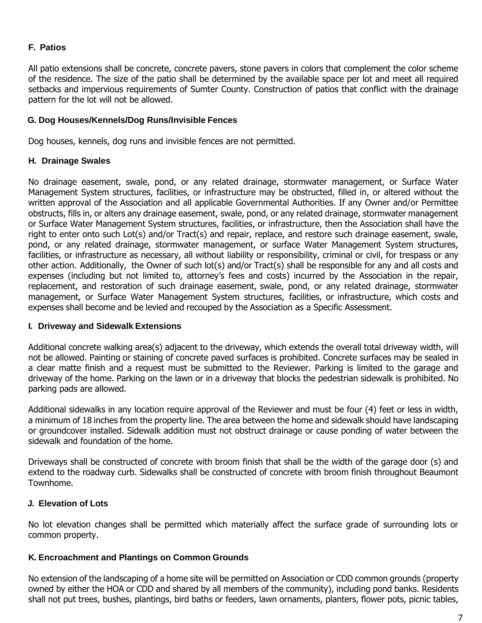# **F. Patios**

All patio extensions shall be concrete, concrete pavers, stone pavers in colors that complement the color scheme of the residence. The size of the patio shall be determined by the available space per lot and meet all required setbacks and impervious requirements of Sumter County. Construction of patios that conflict with the drainage pattern for the lot will not be allowed.

#### **G. Dog Houses/Kennels/Dog Runs/Invisible Fences**

Dog houses, kennels, dog runs and invisible fences are not permitted.

#### **H. Drainage Swales**

No drainage easement, swale, pond, or any related drainage, stormwater management, or Surface Water Management System structures, facilities, or infrastructure may be obstructed, filled in, or altered without the written approval of the Association and all applicable Governmental Authorities. If any Owner and/or Permittee obstructs, fills in, or alters any drainage easement, swale, pond, or any related drainage, stormwater management or Surface Water Management System structures, facilities, or infrastructure, then the Association shall have the right to enter onto such Lot(s) and/or Tract(s) and repair, replace, and restore such drainage easement, swale, pond, or any related drainage, stormwater management, or surface Water Management System structures, facilities, or infrastructure as necessary, all without liability or responsibility, criminal or civil, for trespass or any other action. Additionally, the Owner of such lot(s) and/or Tract(s) shall be responsible for any and all costs and expenses (including but not limited to, attorney's fees and costs) incurred by the Association in the repair, replacement, and restoration of such drainage easement, swale, pond, or any related drainage, stormwater management, or Surface Water Management System structures, facilities, or infrastructure, which costs and expenses shall become and be levied and recouped by the Association as a Specific Assessment.

# **I. Driveway and Sidewalk Extensions**

Additional concrete walking area(s) adjacent to the driveway, which extends the overall total driveway width, will not be allowed. Painting or staining of concrete paved surfaces is prohibited. Concrete surfaces may be sealed in a clear matte finish and a request must be submitted to the Reviewer. Parking is limited to the garage and driveway of the home. Parking on the lawn or in a driveway that blocks the pedestrian sidewalk is prohibited. No parking pads are allowed.

Additional sidewalks in any location require approval of the Reviewer and must be four (4) feet or less in width, a minimum of 18 inches from the property line. The area between the home and sidewalk should have landscaping or groundcover installed. Sidewalk addition must not obstruct drainage or cause ponding of water between the sidewalk and foundation of the home.

Driveways shall be constructed of concrete with broom finish that shall be the width of the garage door (s) and extend to the roadway curb. Sidewalks shall be constructed of concrete with broom finish throughout Beaumont Townhome.

# **J. Elevation of Lots**

No lot elevation changes shall be permitted which materially affect the surface grade of surrounding lots or common property.

# **K. Encroachment and Plantings on Common Grounds**

No extension of the landscaping of a home site will be permitted on Association or CDD common grounds (property owned by either the HOA or CDD and shared by all members of the community), including pond banks. Residents shall not put trees, bushes, plantings, bird baths or feeders, lawn ornaments, planters, flower pots, picnic tables,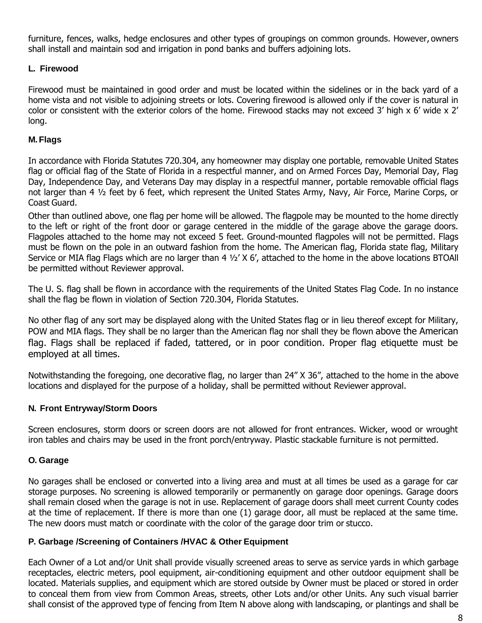furniture, fences, walks, hedge enclosures and other types of groupings on common grounds. However, owners shall install and maintain sod and irrigation in pond banks and buffers adjoining lots.

#### **L. Firewood**

Firewood must be maintained in good order and must be located within the sidelines or in the back yard of a home vista and not visible to adjoining streets or lots. Covering firewood is allowed only if the cover is natural in color or consistent with the exterior colors of the home. Firewood stacks may not exceed 3' high x 6' wide x 2' long.

#### **M. Flags**

In accordance with Florida Statutes 720.304, any homeowner may display one portable, removable United States flag or official flag of the State of Florida in a respectful manner, and on Armed Forces Day, Memorial Day, Flag Day, Independence Day, and Veterans Day may display in a respectful manner, portable removable official flags not larger than 4 ½ feet by 6 feet, which represent the United States Army, Navy, Air Force, Marine Corps, or Coast Guard.

Other than outlined above, one flag per home will be allowed. The flagpole may be mounted to the home directly to the left or right of the front door or garage centered in the middle of the garage above the garage doors. Flagpoles attached to the home may not exceed 5 feet. Ground-mounted flagpoles will not be permitted. Flags must be flown on the pole in an outward fashion from the home. The American flag, Florida state flag, Military Service or MIA flag Flags which are no larger than 4 1/2' X 6', attached to the home in the above locations BTOAll be permitted without Reviewer approval.

The U. S. flag shall be flown in accordance with the requirements of the United States Flag Code. In no instance shall the flag be flown in violation of Section 720.304, Florida Statutes.

No other flag of any sort may be displayed along with the United States flag or in lieu thereof except for Military, POW and MIA flags. They shall be no larger than the American flag nor shall they be flown above the American flag. Flags shall be replaced if faded, tattered, or in poor condition. Proper flag etiquette must be employed at all times.

Notwithstanding the foregoing, one decorative flag, no larger than 24" X 36", attached to the home in the above locations and displayed for the purpose of a holiday, shall be permitted without Reviewer approval.

#### **N. Front Entryway/Storm Doors**

Screen enclosures, storm doors or screen doors are not allowed for front entrances. Wicker, wood or wrought iron tables and chairs may be used in the front porch/entryway. Plastic stackable furniture is not permitted.

#### **O. Garage**

No garages shall be enclosed or converted into a living area and must at all times be used as a garage for car storage purposes. No screening is allowed temporarily or permanently on garage door openings. Garage doors shall remain closed when the garage is not in use. Replacement of garage doors shall meet current County codes at the time of replacement. If there is more than one (1) garage door, all must be replaced at the same time. The new doors must match or coordinate with the color of the garage door trim or stucco.

#### **P. Garbage /Screening of Containers /HVAC & Other Equipment**

Each Owner of a Lot and/or Unit shall provide visually screened areas to serve as service yards in which garbage receptacles, electric meters, pool equipment, air-conditioning equipment and other outdoor equipment shall be located. Materials supplies, and equipment which are stored outside by Owner must be placed or stored in order to conceal them from view from Common Areas, streets, other Lots and/or other Units. Any such visual barrier shall consist of the approved type of fencing from Item N above along with landscaping, or plantings and shall be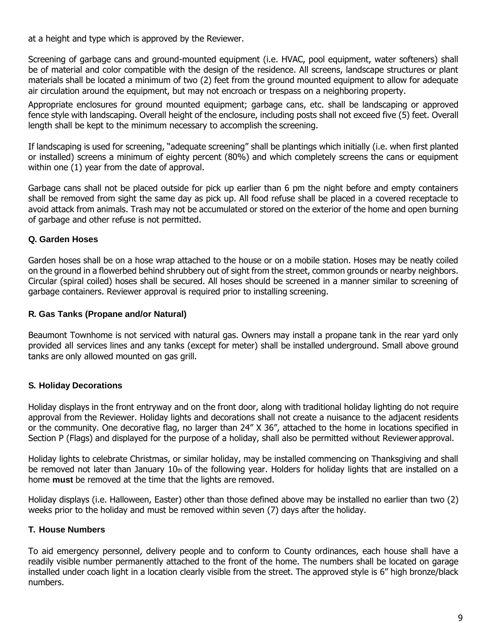at a height and type which is approved by the Reviewer.

Screening of garbage cans and ground-mounted equipment (i.e. HVAC, pool equipment, water softeners) shall be of material and color compatible with the design of the residence. All screens, landscape structures or plant materials shall be located a minimum of two (2) feet from the ground mounted equipment to allow for adequate air circulation around the equipment, but may not encroach or trespass on a neighboring property.

Appropriate enclosures for ground mounted equipment; garbage cans, etc. shall be landscaping or approved fence style with landscaping. Overall height of the enclosure, including posts shall not exceed five (5) feet. Overall length shall be kept to the minimum necessary to accomplish the screening.

If landscaping is used for screening, "adequate screening" shall be plantings which initially (i.e. when first planted or installed) screens a minimum of eighty percent (80%) and which completely screens the cans or equipment within one (1) year from the date of approval.

Garbage cans shall not be placed outside for pick up earlier than 6 pm the night before and empty containers shall be removed from sight the same day as pick up. All food refuse shall be placed in a covered receptacle to avoid attack from animals. Trash may not be accumulated or stored on the exterior of the home and open burning of garbage and other refuse is not permitted.

# **Q. Garden Hoses**

Garden hoses shall be on a hose wrap attached to the house or on a mobile station. Hoses may be neatly coiled on the ground in a flowerbed behind shrubbery out of sight from the street, common grounds or nearby neighbors. Circular (spiral coiled) hoses shall be secured. All hoses should be screened in a manner similar to screening of garbage containers. Reviewer approval is required prior to installing screening.

#### **R. Gas Tanks (Propane and/or Natural)**

Beaumont Townhome is not serviced with natural gas. Owners may install a propane tank in the rear yard only provided all services lines and any tanks (except for meter) shall be installed underground. Small above ground tanks are only allowed mounted on gas grill.

# **S. Holiday Decorations**

Holiday displays in the front entryway and on the front door, along with traditional holiday lighting do not require approval from the Reviewer. Holiday lights and decorations shall not create a nuisance to the adjacent residents or the community. One decorative flag, no larger than 24" X 36", attached to the home in locations specified in Section P (Flags) and displayed for the purpose of a holiday, shall also be permitted without Reviewer approval.

Holiday lights to celebrate Christmas, or similar holiday, may be installed commencing on Thanksgiving and shall be removed not later than January 10th of the following year. Holders for holiday lights that are installed on a home **must** be removed at the time that the lights are removed.

Holiday displays (i.e. Halloween, Easter) other than those defined above may be installed no earlier than two (2) weeks prior to the holiday and must be removed within seven (7) days after the holiday.

# **T. House Numbers**

To aid emergency personnel, delivery people and to conform to County ordinances, each house shall have a readily visible number permanently attached to the front of the home. The numbers shall be located on garage installed under coach light in a location clearly visible from the street. The approved style is 6" high bronze/black numbers.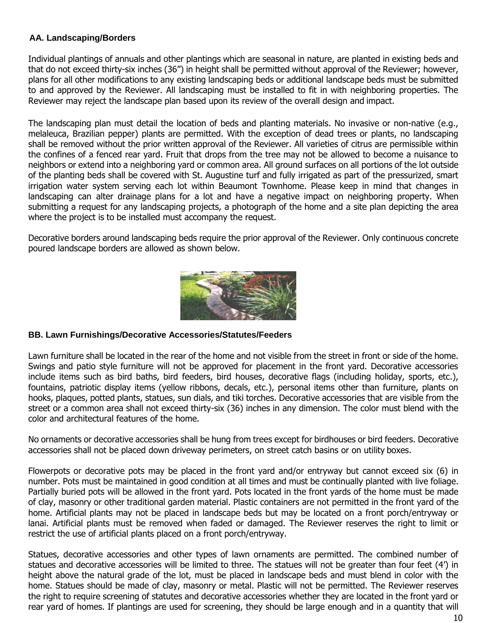# **AA. Landscaping/Borders**

Individual plantings of annuals and other plantings which are seasonal in nature, are planted in existing beds and that do not exceed thirty-six inches (36") in height shall be permitted without approval of the Reviewer; however, plans for all other modifications to any existing landscaping beds or additional landscape beds must be submitted to and approved by the Reviewer. All landscaping must be installed to fit in with neighboring properties. The Reviewer may reject the landscape plan based upon its review of the overall design and impact.

The landscaping plan must detail the location of beds and planting materials. No invasive or non-native (e.g., melaleuca, Brazilian pepper) plants are permitted. With the exception of dead trees or plants, no landscaping shall be removed without the prior written approval of the Reviewer. All varieties of citrus are permissible within the confines of a fenced rear yard. Fruit that drops from the tree may not be allowed to become a nuisance to neighbors or extend into a neighboring yard or common area. All ground surfaces on all portions of the lot outside of the planting beds shall be covered with St. Augustine turf and fully irrigated as part of the pressurized, smart irrigation water system serving each lot within Beaumont Townhome. Please keep in mind that changes in landscaping can alter drainage plans for a lot and have a negative impact on neighboring property. When submitting a request for any landscaping projects, a photograph of the home and a site plan depicting the area where the project is to be installed must accompany the request.

Decorative borders around landscaping beds require the prior approval of the Reviewer. Only continuous concrete poured landscape borders are allowed as shown below.



#### **BB. Lawn Furnishings/Decorative Accessories/Statutes/Feeders**

Lawn furniture shall be located in the rear of the home and not visible from the street in front or side of the home. Swings and patio style furniture will not be approved for placement in the front yard. Decorative accessories include items such as bird baths, bird feeders, bird houses, decorative flags (including holiday, sports, etc.), fountains, patriotic display items (yellow ribbons, decals, etc.), personal items other than furniture, plants on hooks, plaques, potted plants, statues, sun dials, and tiki torches. Decorative accessories that are visible from the street or a common area shall not exceed thirty-six (36) inches in any dimension. The color must blend with the color and architectural features of the home.

No ornaments or decorative accessories shall be hung from trees except for birdhouses or bird feeders. Decorative accessories shall not be placed down driveway perimeters, on street catch basins or on utility boxes.

Flowerpots or decorative pots may be placed in the front yard and/or entryway but cannot exceed six (6) in number. Pots must be maintained in good condition at all times and must be continually planted with live foliage. Partially buried pots will be allowed in the front yard. Pots located in the front yards of the home must be made of clay, masonry or other traditional garden material. Plastic containers are not permitted in the front yard of the home. Artificial plants may not be placed in landscape beds but may be located on a front porch/entryway or lanai. Artificial plants must be removed when faded or damaged. The Reviewer reserves the right to limit or restrict the use of artificial plants placed on a front porch/entryway.

Statues, decorative accessories and other types of lawn ornaments are permitted. The combined number of statues and decorative accessories will be limited to three. The statues will not be greater than four feet (4') in height above the natural grade of the lot, must be placed in landscape beds and must blend in color with the home. Statues should be made of clay, masonry or metal. Plastic will not be permitted. The Reviewer reserves the right to require screening of statutes and decorative accessories whether they are located in the front yard or rear yard of homes. If plantings are used for screening, they should be large enough and in a quantity that will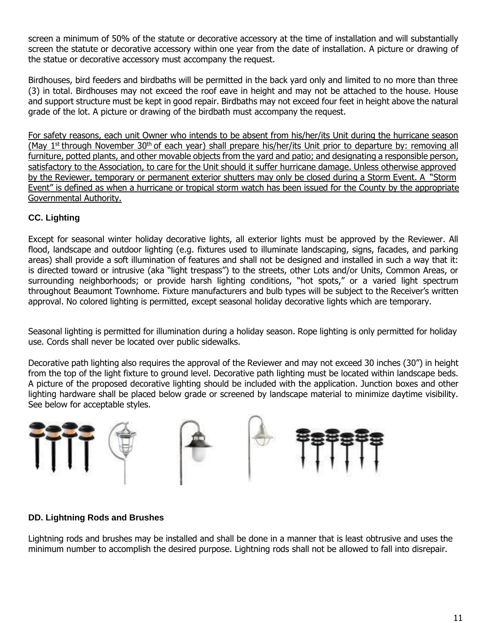screen a minimum of 50% of the statute or decorative accessory at the time of installation and will substantially screen the statute or decorative accessory within one year from the date of installation. A picture or drawing of the statue or decorative accessory must accompany the request.

Birdhouses, bird feeders and birdbaths will be permitted in the back yard only and limited to no more than three (3) in total. Birdhouses may not exceed the roof eave in height and may not be attached to the house. House and support structure must be kept in good repair. Birdbaths may not exceed four feet in height above the natural grade of the lot. A picture or drawing of the birdbath must accompany the request.

For safety reasons, each unit Owner who intends to be absent from his/her/its Unit during the hurricane season (May 1<sup>st</sup> through November 30<sup>th</sup> of each year) shall prepare his/her/its Unit prior to departure by: removing all furniture, potted plants, and other movable objects from the yard and patio; and designating a responsible person, satisfactory to the Association, to care for the Unit should it suffer hurricane damage. Unless otherwise approved by the Reviewer, temporary or permanent exterior shutters may only be closed during a Storm Event. A "Storm Event" is defined as when a hurricane or tropical storm watch has been issued for the County by the appropriate Governmental Authority.

# **CC. Lighting**

Except for seasonal winter holiday decorative lights, all exterior lights must be approved by the Reviewer. All flood, landscape and outdoor lighting (e.g. fixtures used to illuminate landscaping, signs, facades, and parking areas) shall provide a soft illumination of features and shall not be designed and installed in such a way that it: is directed toward or intrusive (aka "light trespass") to the streets, other Lots and/or Units, Common Areas, or surrounding neighborhoods; or provide harsh lighting conditions, "hot spots," or a varied light spectrum throughout Beaumont Townhome. Fixture manufacturers and bulb types will be subject to the Receiver's written approval. No colored lighting is permitted, except seasonal holiday decorative lights which are temporary.

Seasonal lighting is permitted for illumination during a holiday season. Rope lighting is only permitted for holiday use. Cords shall never be located over public sidewalks.

Decorative path lighting also requires the approval of the Reviewer and may not exceed 30 inches (30") in height from the top of the light fixture to ground level. Decorative path lighting must be located within landscape beds. A picture of the proposed decorative lighting should be included with the application. Junction boxes and other lighting hardware shall be placed below grade or screened by landscape material to minimize daytime visibility. See below for acceptable styles.



# **DD. Lightning Rods and Brushes**

Lightning rods and brushes may be installed and shall be done in a manner that is least obtrusive and uses the minimum number to accomplish the desired purpose. Lightning rods shall not be allowed to fall into disrepair.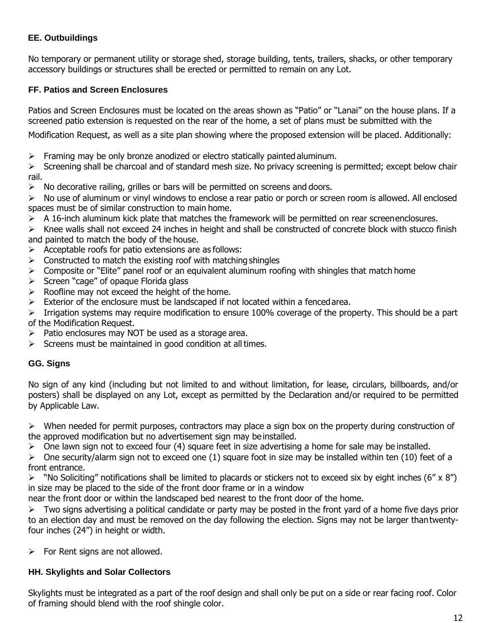# **EE. Outbuildings**

No temporary or permanent utility or storage shed, storage building, tents, trailers, shacks, or other temporary accessory buildings or structures shall be erected or permitted to remain on any Lot.

# **FF. Patios and Screen Enclosures**

Patios and Screen Enclosures must be located on the areas shown as "Patio" or "Lanai" on the house plans. If a screened patio extension is requested on the rear of the home, a set of plans must be submitted with the

Modification Request, as well as a site plan showing where the proposed extension will be placed. Additionally:

 $\triangleright$  Framing may be only bronze anodized or electro statically painted aluminum.

 $\triangleright$  Screening shall be charcoal and of standard mesh size. No privacy screening is permitted; except below chair rail.

 $\triangleright$  No decorative railing, grilles or bars will be permitted on screens and doors.

 $\triangleright$  No use of aluminum or vinyl windows to enclose a rear patio or porch or screen room is allowed. All enclosed spaces must be of similar construction to main home.

 $\triangleright$  A 16-inch aluminum kick plate that matches the framework will be permitted on rear screenenclosures.

 Knee walls shall not exceed 24 inches in height and shall be constructed of concrete block with stucco finish and painted to match the body of the house.

- $\triangleright$  Acceptable roofs for patio extensions are as follows:
- $\triangleright$  Constructed to match the existing roof with matching shingles
- $\triangleright$  Composite or "Elite" panel roof or an equivalent aluminum roofing with shingles that match home
- $\triangleright$  Screen "cage" of opaque Florida glass
- $\triangleright$  Roofline may not exceed the height of the home.
- $\triangleright$  Exterior of the enclosure must be landscaped if not located within a fenced area.

 $\triangleright$  Irrigation systems may require modification to ensure 100% coverage of the property. This should be a part of the Modification Request.

- $\triangleright$  Patio enclosures may NOT be used as a storage area.
- $\triangleright$  Screens must be maintained in good condition at all times.

#### **GG. Signs**

No sign of any kind (including but not limited to and without limitation, for lease, circulars, billboards, and/or posters) shall be displayed on any Lot, except as permitted by the Declaration and/or required to be permitted by Applicable Law.

 $\triangleright$  When needed for permit purposes, contractors may place a sign box on the property during construction of the approved modification but no advertisement sign may be installed.

 $\triangleright$  One lawn sign not to exceed four (4) square feet in size advertising a home for sale may be installed.

 $\triangleright$  One security/alarm sign not to exceed one (1) square foot in size may be installed within ten (10) feet of a front entrance.

 $\triangleright$  "No Soliciting" notifications shall be limited to placards or stickers not to exceed six by eight inches (6" x 8") in size may be placed to the side of the front door frame or in a window

near the front door or within the landscaped bed nearest to the front door of the home.

 $\triangleright$  Two signs advertising a political candidate or party may be posted in the front yard of a home five days prior to an election day and must be removed on the day following the election. Signs may not be larger thantwentyfour inches (24") in height or width.

 $\triangleright$  For Rent signs are not allowed.

# **HH. Skylights and Solar Collectors**

Skylights must be integrated as a part of the roof design and shall only be put on a side or rear facing roof. Color of framing should blend with the roof shingle color.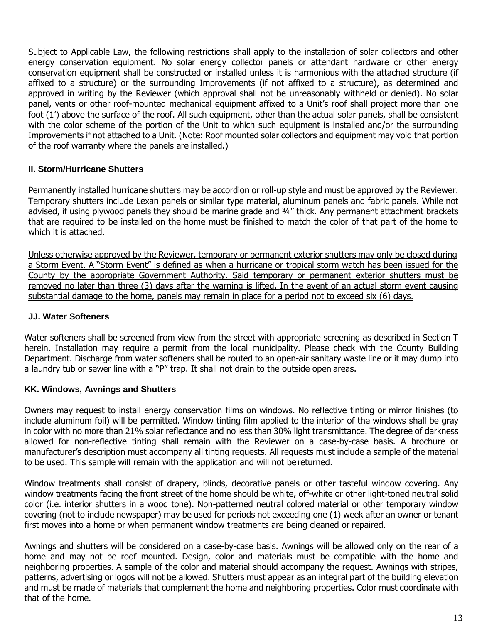Subject to Applicable Law, the following restrictions shall apply to the installation of solar collectors and other energy conservation equipment. No solar energy collector panels or attendant hardware or other energy conservation equipment shall be constructed or installed unless it is harmonious with the attached structure (if affixed to a structure) or the surrounding Improvements (if not affixed to a structure), as determined and approved in writing by the Reviewer (which approval shall not be unreasonably withheld or denied). No solar panel, vents or other roof-mounted mechanical equipment affixed to a Unit's roof shall project more than one foot (1') above the surface of the roof. All such equipment, other than the actual solar panels, shall be consistent with the color scheme of the portion of the Unit to which such equipment is installed and/or the surrounding Improvements if not attached to a Unit. (Note: Roof mounted solar collectors and equipment may void that portion of the roof warranty where the panels are installed.)

# **II. Storm/Hurricane Shutters**

Permanently installed hurricane shutters may be accordion or roll-up style and must be approved by the Reviewer. Temporary shutters include Lexan panels or similar type material, aluminum panels and fabric panels. While not advised, if using plywood panels they should be marine grade and 3/4" thick. Any permanent attachment brackets that are required to be installed on the home must be finished to match the color of that part of the home to which it is attached.

Unless otherwise approved by the Reviewer, temporary or permanent exterior shutters may only be closed during a Storm Event. A "Storm Event" is defined as when a hurricane or tropical storm watch has been issued for the County by the appropriate Government Authority. Said temporary or permanent exterior shutters must be removed no later than three (3) days after the warning is lifted. In the event of an actual storm event causing substantial damage to the home, panels may remain in place for a period not to exceed six (6) days.

#### **JJ. Water Softeners**

Water softeners shall be screened from view from the street with appropriate screening as described in Section T herein. Installation may require a permit from the local municipality. Please check with the County Building Department. Discharge from water softeners shall be routed to an open-air sanitary waste line or it may dump into a laundry tub or sewer line with a "P" trap. It shall not drain to the outside open areas.

# **KK. Windows, Awnings and Shutters**

Owners may request to install energy conservation films on windows. No reflective tinting or mirror finishes (to include aluminum foil) will be permitted. Window tinting film applied to the interior of the windows shall be gray in color with no more than 21% solar reflectance and no less than 30% light transmittance. The degree of darkness allowed for non-reflective tinting shall remain with the Reviewer on a case-by-case basis. A brochure or manufacturer's description must accompany all tinting requests. All requests must include a sample of the material to be used. This sample will remain with the application and will not bereturned.

Window treatments shall consist of drapery, blinds, decorative panels or other tasteful window covering. Any window treatments facing the front street of the home should be white, off-white or other light-toned neutral solid color (i.e. interior shutters in a wood tone). Non-patterned neutral colored material or other temporary window covering (not to include newspaper) may be used for periods not exceeding one (1) week after an owner or tenant first moves into a home or when permanent window treatments are being cleaned or repaired.

Awnings and shutters will be considered on a case-by-case basis. Awnings will be allowed only on the rear of a home and may not be roof mounted. Design, color and materials must be compatible with the home and neighboring properties. A sample of the color and material should accompany the request. Awnings with stripes, patterns, advertising or logos will not be allowed. Shutters must appear as an integral part of the building elevation and must be made of materials that complement the home and neighboring properties. Color must coordinate with that of the home.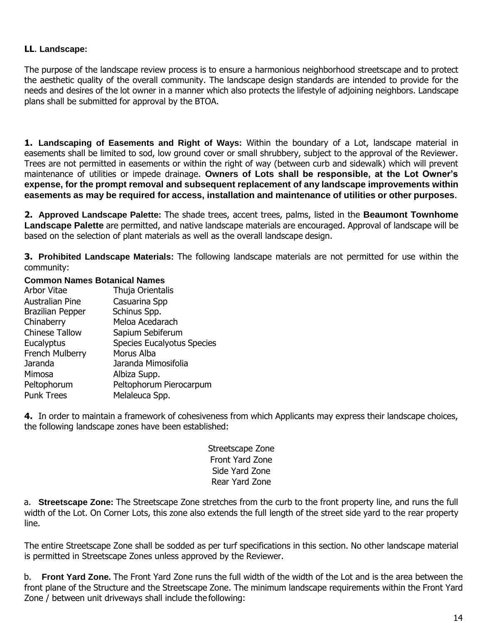#### **LL**. **Landscape:**

The purpose of the landscape review process is to ensure a harmonious neighborhood streetscape and to protect the aesthetic quality of the overall community. The landscape design standards are intended to provide for the needs and desires of the lot owner in a manner which also protects the lifestyle of adjoining neighbors. Landscape plans shall be submitted for approval by the BTOA.

**1. Landscaping of Easements and Right of Ways:** Within the boundary of a Lot, landscape material in easements shall be limited to sod, low ground cover or small shrubbery, subject to the approval of the Reviewer. Trees are not permitted in easements or within the right of way (between curb and sidewalk) which will prevent maintenance of utilities or impede drainage. **Owners of Lots shall be responsible, at the Lot Owner's expense, for the prompt removal and subsequent replacement of any landscape improvements within easements as may be required for access, installation and maintenance of utilities or other purposes**.

**2. Approved Landscape Palette:** The shade trees, accent trees, palms, listed in the **Beaumont Townhome Landscape Palette** are permitted, and native landscape materials are encouraged. Approval of landscape will be based on the selection of plant materials as well as the overall landscape design.

**3. Prohibited Landscape Materials:** The following landscape materials are not permitted for use within the community:

#### **Common Names Botanical Names**

| Thuja Orientalis                  |
|-----------------------------------|
| Casuarina Spp                     |
| Schinus Spp.                      |
| Meloa Acedarach                   |
| Sapium Sebiferum                  |
| <b>Species Eucalyotus Species</b> |
| Morus Alba                        |
| Jaranda Mimosifolia               |
| Albiza Supp.                      |
| Peltophorum Pierocarpum           |
| Melaleuca Spp.                    |
|                                   |

**4.** In order to maintain a framework of cohesiveness from which Applicants may express their landscape choices, the following landscape zones have been established:

> Streetscape Zone Front Yard Zone Side Yard Zone Rear Yard Zone

a. **Streetscape Zone:** The Streetscape Zone stretches from the curb to the front property line, and runs the full width of the Lot. On Corner Lots, this zone also extends the full length of the street side yard to the rear property line.

The entire Streetscape Zone shall be sodded as per turf specifications in this section. No other landscape material is permitted in Streetscape Zones unless approved by the Reviewer.

b. **Front Yard Zone.** The Front Yard Zone runs the full width of the width of the Lot and is the area between the front plane of the Structure and the Streetscape Zone. The minimum landscape requirements within the Front Yard Zone / between unit driveways shall include the following: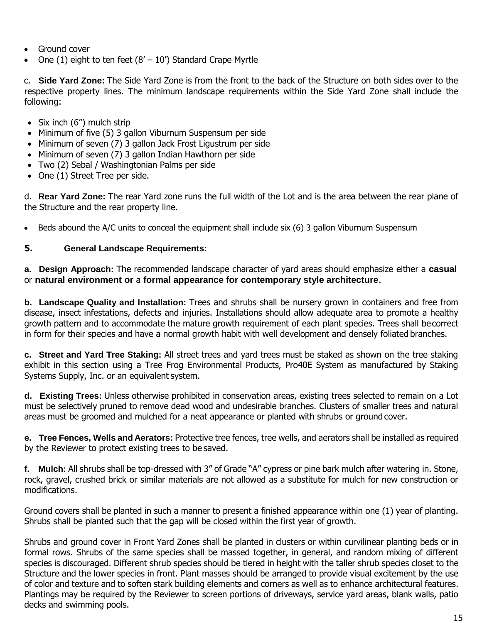- Ground cover
- One (1) eight to ten feet  $(8' 10')$  Standard Crape Myrtle

c. **Side Yard Zone:** The Side Yard Zone is from the front to the back of the Structure on both sides over to the respective property lines. The minimum landscape requirements within the Side Yard Zone shall include the following:

- $\bullet$  Six inch (6") mulch strip
- Minimum of five (5) 3 gallon Viburnum Suspensum per side
- Minimum of seven (7) 3 gallon Jack Frost Ligustrum per side
- Minimum of seven (7) 3 gallon Indian Hawthorn per side
- Two (2) Sebal / Washingtonian Palms per side
- One (1) Street Tree per side.

d. **Rear Yard Zone:** The rear Yard zone runs the full width of the Lot and is the area between the rear plane of the Structure and the rear property line.

Beds abound the A/C units to conceal the equipment shall include six (6) 3 gallon Viburnum Suspensum

# **5. General Landscape Requirements:**

**a. Design Approach:** The recommended landscape character of yard areas should emphasize either a **casual** or **natural environment or** a **formal appearance for contemporary style architecture**.

**b. Landscape Quality and Installation:** Trees and shrubs shall be nursery grown in containers and free from disease, insect infestations, defects and injuries. Installations should allow adequate area to promote a healthy growth pattern and to accommodate the mature growth requirement of each plant species. Trees shall becorrect in form for their species and have a normal growth habit with well development and densely foliated branches.

**c. Street and Yard Tree Staking:** All street trees and yard trees must be staked as shown on the tree staking exhibit in this section using a Tree Frog Environmental Products, Pro40E System as manufactured by Staking Systems Supply, Inc. or an equivalent system.

**d. Existing Trees:** Unless otherwise prohibited in conservation areas, existing trees selected to remain on a Lot must be selectively pruned to remove dead wood and undesirable branches. Clusters of smaller trees and natural areas must be groomed and mulched for a neat appearance or planted with shrubs or ground cover.

**e. Tree Fences, Wells and Aerators:** Protective tree fences, tree wells, and aerators shall be installed as required by the Reviewer to protect existing trees to be saved.

**f. Mulch:** All shrubs shall be top-dressed with 3" of Grade "A" cypress or pine bark mulch after watering in. Stone, rock, gravel, crushed brick or similar materials are not allowed as a substitute for mulch for new construction or modifications.

Ground covers shall be planted in such a manner to present a finished appearance within one (1) year of planting. Shrubs shall be planted such that the gap will be closed within the first year of growth.

Shrubs and ground cover in Front Yard Zones shall be planted in clusters or within curvilinear planting beds or in formal rows. Shrubs of the same species shall be massed together, in general, and random mixing of different species is discouraged. Different shrub species should be tiered in height with the taller shrub species closet to the Structure and the lower species in front. Plant masses should be arranged to provide visual excitement by the use of color and texture and to soften stark building elements and corners as well as to enhance architectural features. Plantings may be required by the Reviewer to screen portions of driveways, service yard areas, blank walls, patio decks and swimming pools.